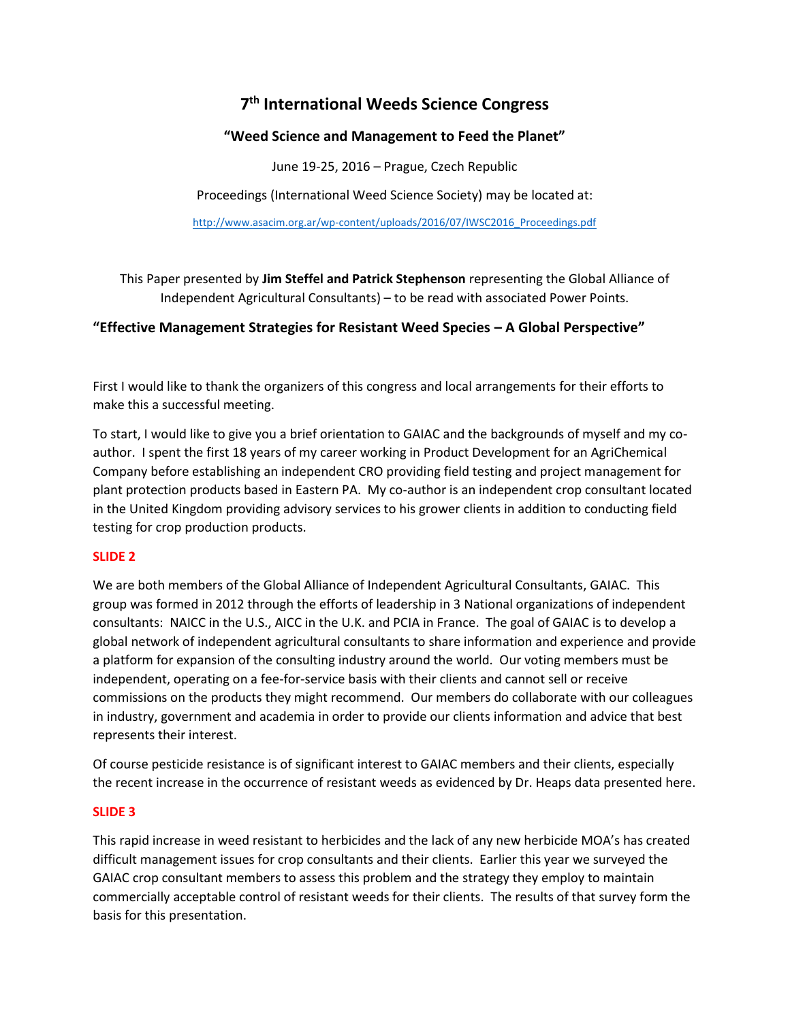# **7 th International Weeds Science Congress**

# **"Weed Science and Management to Feed the Planet"**

June 19-25, 2016 – Prague, Czech Republic

Proceedings (International Weed Science Society) may be located at:

[http://www.asacim.org.ar/wp-content/uploads/2016/07/IWSC2016\\_Proceedings.pdf](http://www.asacim.org.ar/wp-content/uploads/2016/07/IWSC2016_Proceedings.pdf)

This Paper presented by **Jim Steffel and Patrick Stephenson** representing the Global Alliance of Independent Agricultural Consultants) – to be read with associated Power Points.

# **"Effective Management Strategies for Resistant Weed Species – A Global Perspective"**

First I would like to thank the organizers of this congress and local arrangements for their efforts to make this a successful meeting.

To start, I would like to give you a brief orientation to GAIAC and the backgrounds of myself and my coauthor. I spent the first 18 years of my career working in Product Development for an AgriChemical Company before establishing an independent CRO providing field testing and project management for plant protection products based in Eastern PA. My co-author is an independent crop consultant located in the United Kingdom providing advisory services to his grower clients in addition to conducting field testing for crop production products.

# **SLIDE 2**

We are both members of the Global Alliance of Independent Agricultural Consultants, GAIAC. This group was formed in 2012 through the efforts of leadership in 3 National organizations of independent consultants: NAICC in the U.S., AICC in the U.K. and PCIA in France. The goal of GAIAC is to develop a global network of independent agricultural consultants to share information and experience and provide a platform for expansion of the consulting industry around the world. Our voting members must be independent, operating on a fee-for-service basis with their clients and cannot sell or receive commissions on the products they might recommend. Our members do collaborate with our colleagues in industry, government and academia in order to provide our clients information and advice that best represents their interest.

Of course pesticide resistance is of significant interest to GAIAC members and their clients, especially the recent increase in the occurrence of resistant weeds as evidenced by Dr. Heaps data presented here.

# **SLIDE 3**

This rapid increase in weed resistant to herbicides and the lack of any new herbicide MOA's has created difficult management issues for crop consultants and their clients. Earlier this year we surveyed the GAIAC crop consultant members to assess this problem and the strategy they employ to maintain commercially acceptable control of resistant weeds for their clients. The results of that survey form the basis for this presentation.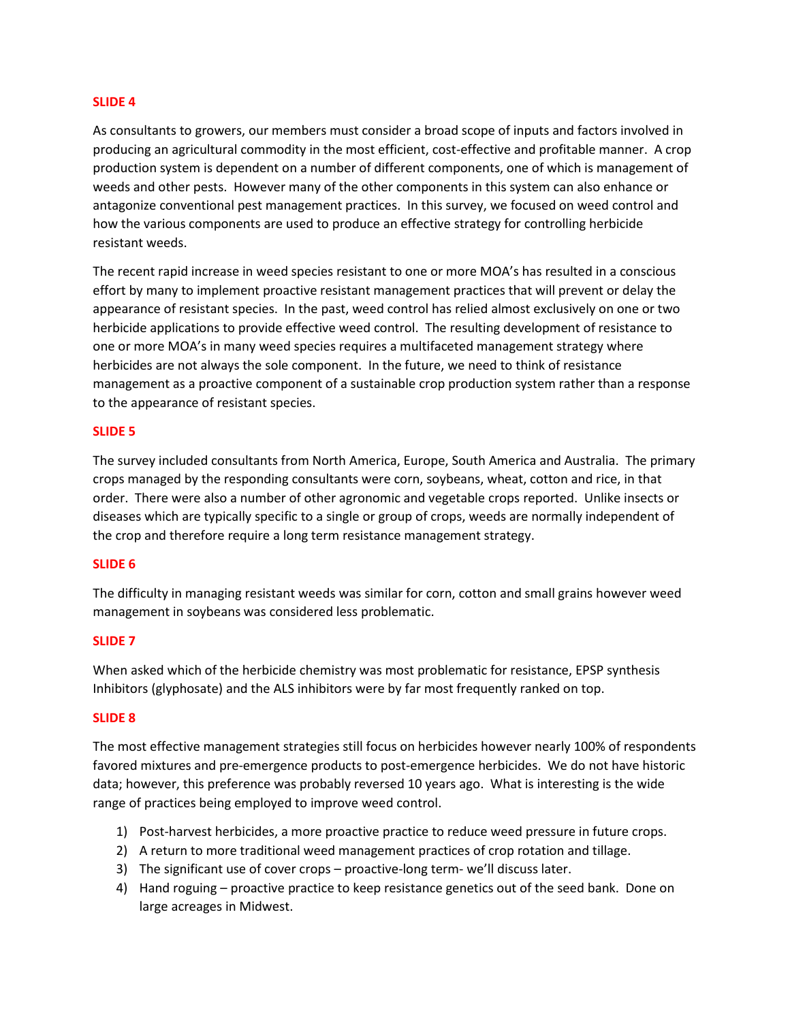#### **SLIDE 4**

As consultants to growers, our members must consider a broad scope of inputs and factors involved in producing an agricultural commodity in the most efficient, cost-effective and profitable manner. A crop production system is dependent on a number of different components, one of which is management of weeds and other pests. However many of the other components in this system can also enhance or antagonize conventional pest management practices. In this survey, we focused on weed control and how the various components are used to produce an effective strategy for controlling herbicide resistant weeds.

The recent rapid increase in weed species resistant to one or more MOA's has resulted in a conscious effort by many to implement proactive resistant management practices that will prevent or delay the appearance of resistant species. In the past, weed control has relied almost exclusively on one or two herbicide applications to provide effective weed control. The resulting development of resistance to one or more MOA's in many weed species requires a multifaceted management strategy where herbicides are not always the sole component. In the future, we need to think of resistance management as a proactive component of a sustainable crop production system rather than a response to the appearance of resistant species.

#### **SLIDE 5**

The survey included consultants from North America, Europe, South America and Australia. The primary crops managed by the responding consultants were corn, soybeans, wheat, cotton and rice, in that order. There were also a number of other agronomic and vegetable crops reported. Unlike insects or diseases which are typically specific to a single or group of crops, weeds are normally independent of the crop and therefore require a long term resistance management strategy.

#### **SLIDE 6**

The difficulty in managing resistant weeds was similar for corn, cotton and small grains however weed management in soybeans was considered less problematic.

#### **SLIDE 7**

When asked which of the herbicide chemistry was most problematic for resistance, EPSP synthesis Inhibitors (glyphosate) and the ALS inhibitors were by far most frequently ranked on top.

#### **SLIDE 8**

The most effective management strategies still focus on herbicides however nearly 100% of respondents favored mixtures and pre-emergence products to post-emergence herbicides. We do not have historic data; however, this preference was probably reversed 10 years ago. What is interesting is the wide range of practices being employed to improve weed control.

- 1) Post-harvest herbicides, a more proactive practice to reduce weed pressure in future crops.
- 2) A return to more traditional weed management practices of crop rotation and tillage.
- 3) The significant use of cover crops proactive-long term- we'll discuss later.
- 4) Hand roguing proactive practice to keep resistance genetics out of the seed bank. Done on large acreages in Midwest.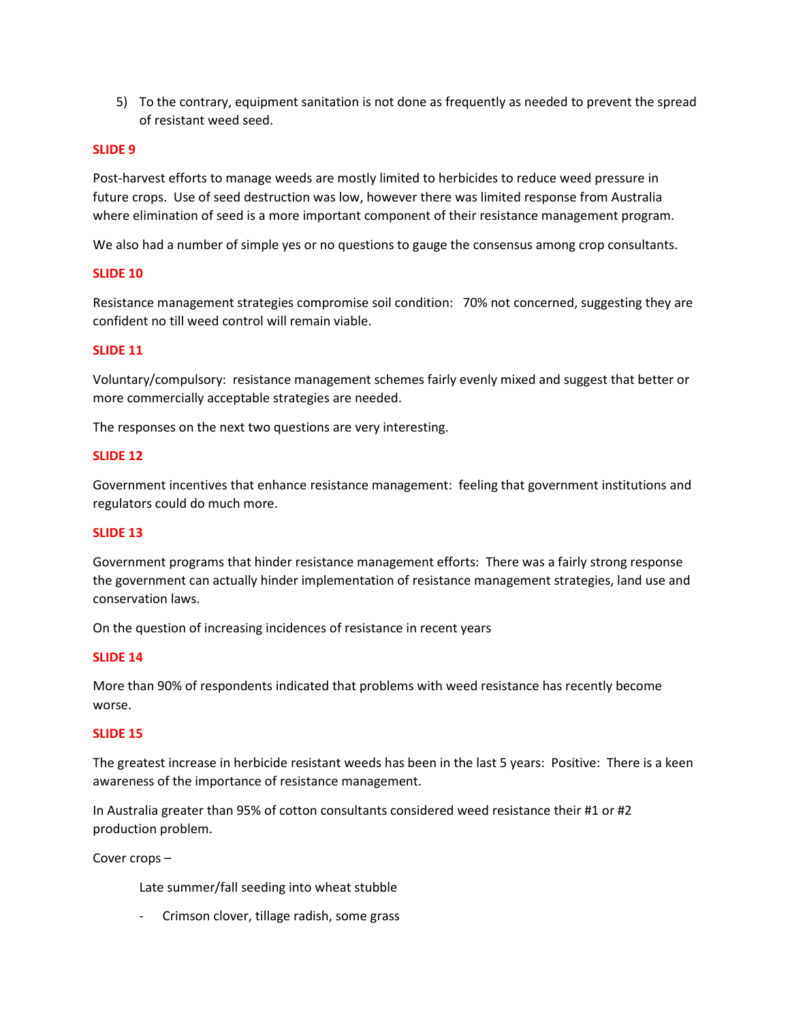5) To the contrary, equipment sanitation is not done as frequently as needed to prevent the spread of resistant weed seed.

#### **SLIDE 9**

Post-harvest efforts to manage weeds are mostly limited to herbicides to reduce weed pressure in future crops. Use of seed destruction was low, however there was limited response from Australia where elimination of seed is a more important component of their resistance management program.

We also had a number of simple yes or no questions to gauge the consensus among crop consultants.

#### **SLIDE 10**

Resistance management strategies compromise soil condition: 70% not concerned, suggesting they are confident no till weed control will remain viable.

#### **SLIDE 11**

Voluntary/compulsory: resistance management schemes fairly evenly mixed and suggest that better or more commercially acceptable strategies are needed.

The responses on the next two questions are very interesting.

#### **SLIDE 12**

Government incentives that enhance resistance management: feeling that government institutions and regulators could do much more.

### **SLIDE 13**

Government programs that hinder resistance management efforts: There was a fairly strong response the government can actually hinder implementation of resistance management strategies, land use and conservation laws.

On the question of increasing incidences of resistance in recent years

#### **SLIDE 14**

More than 90% of respondents indicated that problems with weed resistance has recently become worse.

#### **SLIDE 15**

The greatest increase in herbicide resistant weeds has been in the last 5 years: Positive: There is a keen awareness of the importance of resistance management.

In Australia greater than 95% of cotton consultants considered weed resistance their #1 or #2 production problem.

Cover crops –

Late summer/fall seeding into wheat stubble

- Crimson clover, tillage radish, some grass